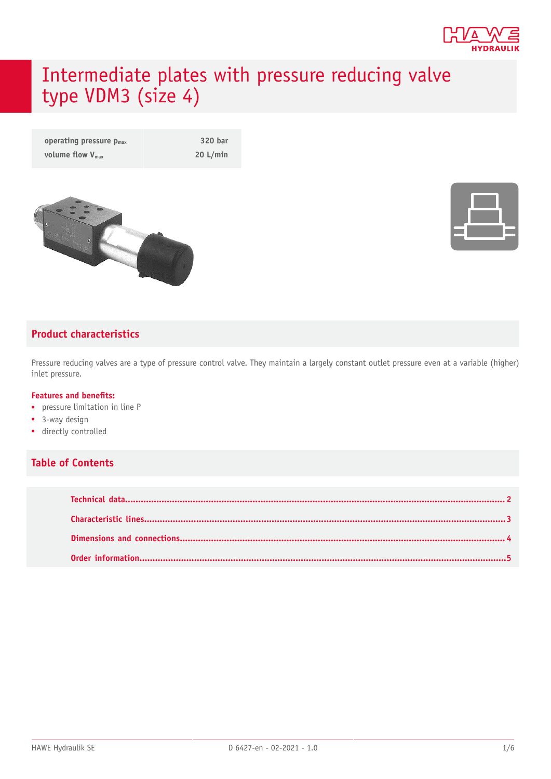

# Intermediate plates with pressure reducing valve type VDM3 (size 4)

| operating pressure $p_{max}$ | 320 bar  |
|------------------------------|----------|
| volume flow $V_{\text{max}}$ | 20 L/min |





#### **Product characteristics**

Pressure reducing valves are a type of pressure control valve. They maintain a largely constant outlet pressure even at a variable (higher) inlet pressure.

#### **Features and benets:**

- pressure limitation in line P
- 3-way design
- directly controlled

#### **Table of Contents**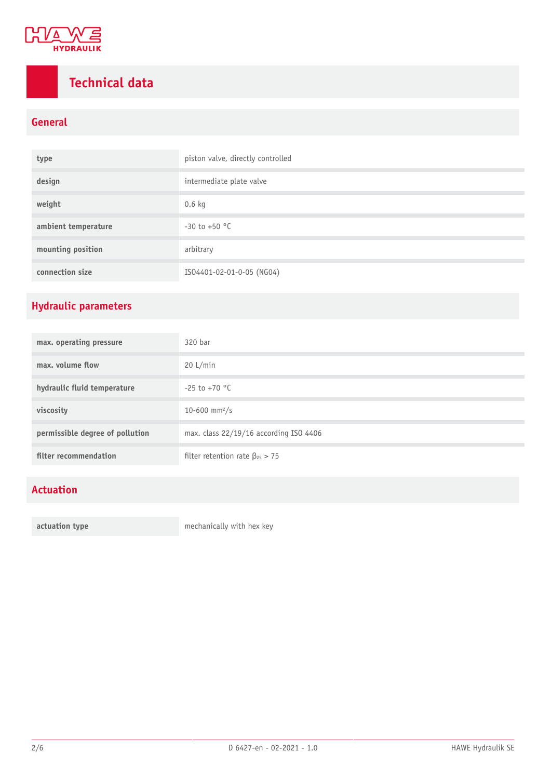

## <span id="page-1-0"></span>**Technical data**

#### **General**

| type                | piston valve, directly controlled |
|---------------------|-----------------------------------|
| design              | intermediate plate valve          |
| weight              | $0.6$ kg                          |
| ambient temperature | $-30$ to $+50$ °C                 |
| mounting position   | arbitrary                         |
| connection size     | ISO4401-02-01-0-05 (NG04)         |

### **Hydraulic parameters**

| max. operating pressure         | 320 bar                                 |
|---------------------------------|-----------------------------------------|
| max, volume flow                | 20 L/min                                |
| hydraulic fluid temperature     | $-25$ to $+70$ °C                       |
| viscosity                       | 10-600 mm <sup>2</sup> /s               |
| permissible degree of pollution | max. class 22/19/16 according ISO 4406  |
| filter recommendation           | filter retention rate $\beta_{25} > 75$ |

### **Actuation**

**actuation type mechanically with hex key**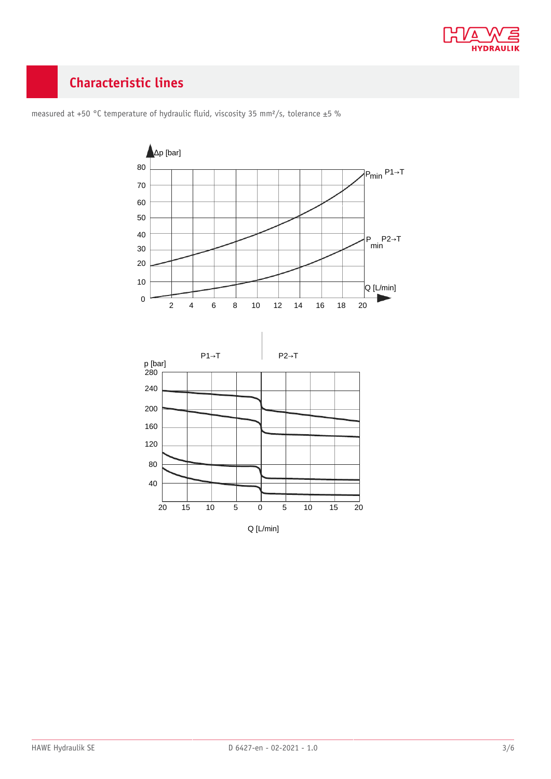

### <span id="page-2-0"></span>**Characteristic lines**



measured at +50 °C temperature of hydraulic fluid, viscosity 35 mm<sup>2</sup>/s, tolerance  $\pm$ 5 %

Q [L/min]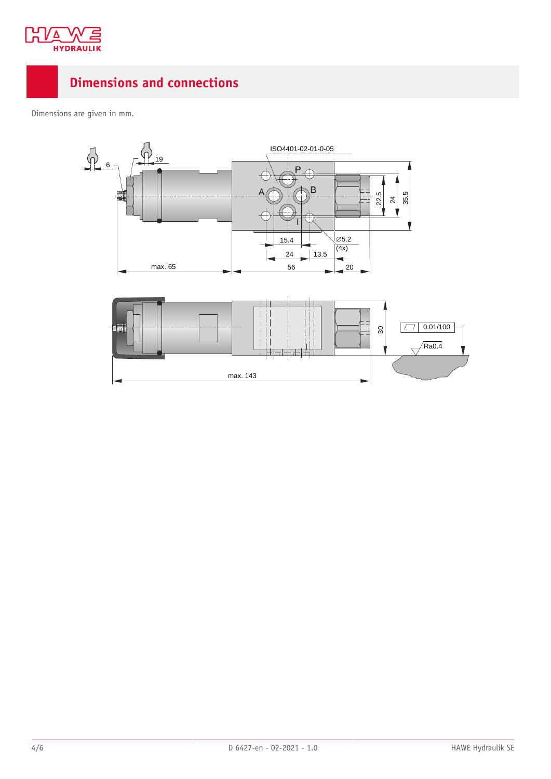

### <span id="page-3-0"></span>**Dimensions and connections**

Dimensions are given in mm.

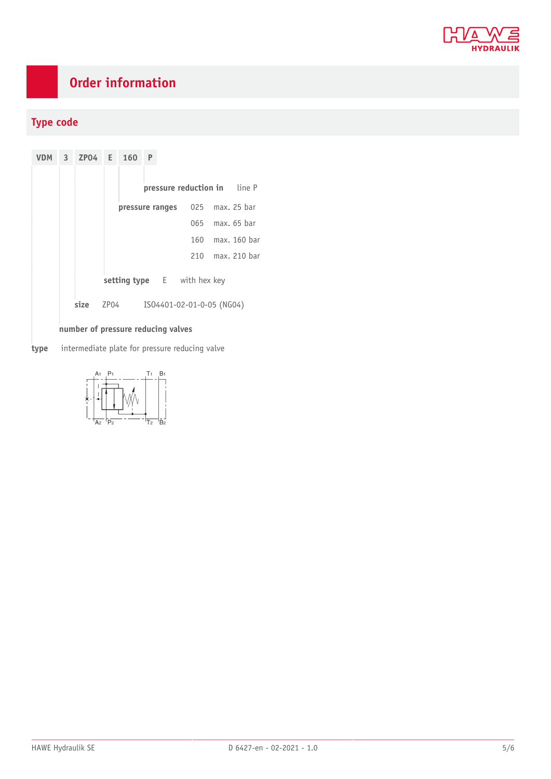

### <span id="page-4-0"></span>**Order information**

#### **Type code**

**VDM 3 ZP04 E 160 P pressure reduction in** line P **pressure ranges** 025 max. 25 bar 065 max. 65 bar 160 max. 160 bar 210 max. 210 bar **setting type** E with hex key **size** ZP04 ISO4401-02-01-0-05 (NG04) **number of pressure reducing valves**

**type** intermediate plate for pressure reducing valve